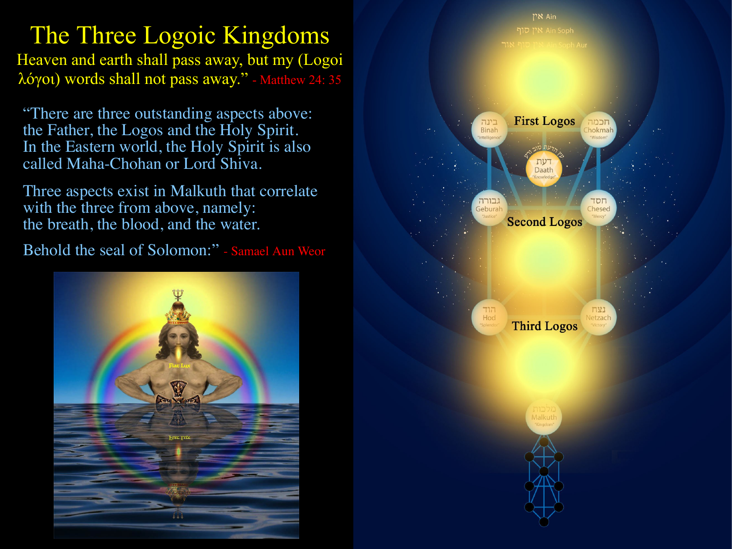# The Three Logoic Kingdoms

Heaven and earth shall pass away, but my (Logoi λόγοι) words shall not pass away." - Matthew 24: 35

"There are three outstanding aspects above: the Father, the Logos and the Holy Spirit. In the Eastern world, the Holy Spirit is also called Maha-Chohan or Lord Shiva.

Three aspects exist in Malkuth that correlate with the three from above, namely: the breath, the blood, and the water.

Behold the seal of Solomon:" - Samael Aun Weor



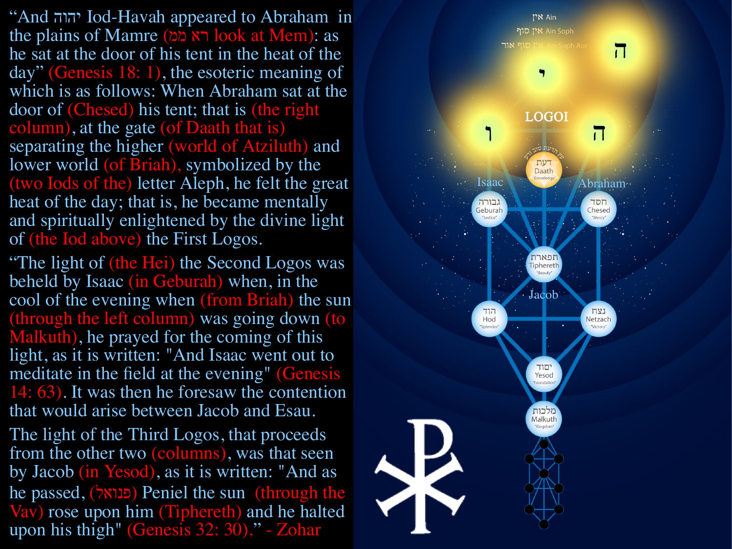"And יהוה Iod-Havah appeared to Abraham in the plains of Mamre (רא ממ) look at Mem): as he sat at the door of his tent in the heat of the day" (Genesis 18: 1), the esoteric meaning of which is as follows: When Abraham sat at the door of (Chesed) his tent; that is (the right column), at the gate (of Daath that is) separating the higher (world of Atziluth) and lower world (of Briah), symbolized by the (two Iods of the) letter Aleph, he felt the great heat of the day; that is, he became mentally and spiritually enlightened by the divine light of (the Iod above) the First Logos.

"The light of (the Hei) the Second Logos was beheld by Isaac (in Geburah) when, in the cool of the evening when (from Briah) the sun (through the left column) was going down (to Malkuth), he prayed for the coming of this light, as it is written: "And Isaac went out to meditate in the field at the evening" (Genesis 14: 63). It was then he foresaw the contention that would arise between Jacob and Esau.

The light of the Third Logos, that proceeds from the other two (columns), was that seen by Jacob (in Yesod), as it is written: "And as he passed, פנואל) ) Peniel the sun (through the Vav) rose upon him (Tiphereth) and he halted upon his thigh" (Genesis 32: 30)." - Zohar

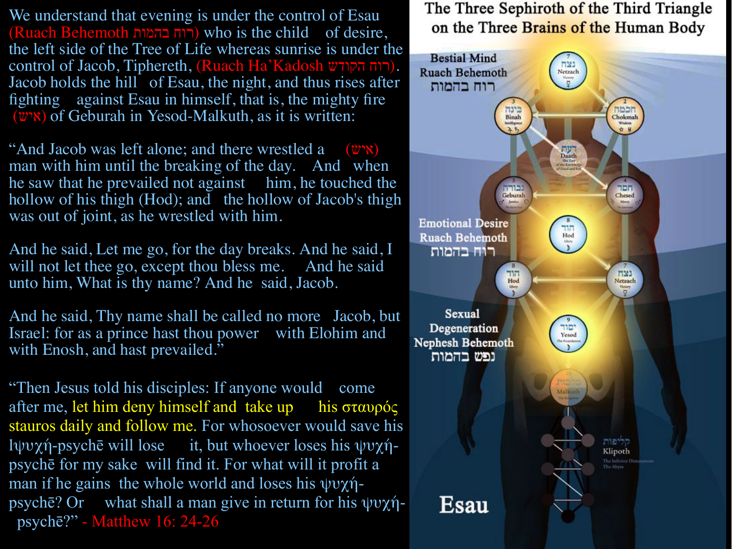We understand that evening is under the control of Esau (Ruach Behemoth בהמות רוח (who is the child of desire, the left side of the Tree of Life whereas sunrise is under the control of Jacob, Tiphereth, (Ruach Ha'Kadosh הקודש רוח(. Jacob holds the hill of Esau, the night, and thus rises after fighting against Esau in himself, that is, the mighty fire  $(w<sub>w</sub>)$  of Geburah in Yesod-Malkuth, as it is written:

"And Jacob was left alone; and there wrestled a  $(w \times w)$ man with him until the breaking of the day. And when he saw that he prevailed not against him, he touched the hollow of his thigh (Hod); and the hollow of Jacob's thigh was out of joint, as he wrestled with him.

And he said, Let me go, for the day breaks. And he said, I will not let thee go, except thou bless me. And he said unto him, What is thy name? And he said, Jacob.

And he said, Thy name shall be called no more Jacob, but Israel: for as a prince hast thou power with Elohim and with Enosh, and hast prevailed."

"Then Jesus told his disciples: If anyone would come after me, let him deny himself and take up his σταυρός stauros daily and follow me. For whosoever would save his lψυχή-psychē will lose it, but whoever loses his ψυχήpsychē for my sake will find it. For what will it profit a man if he gains the whole world and loses his ψυχήpsychē? Or what shall a man give in return for his ψυχή psychē?" - Matthew 16: 24-26

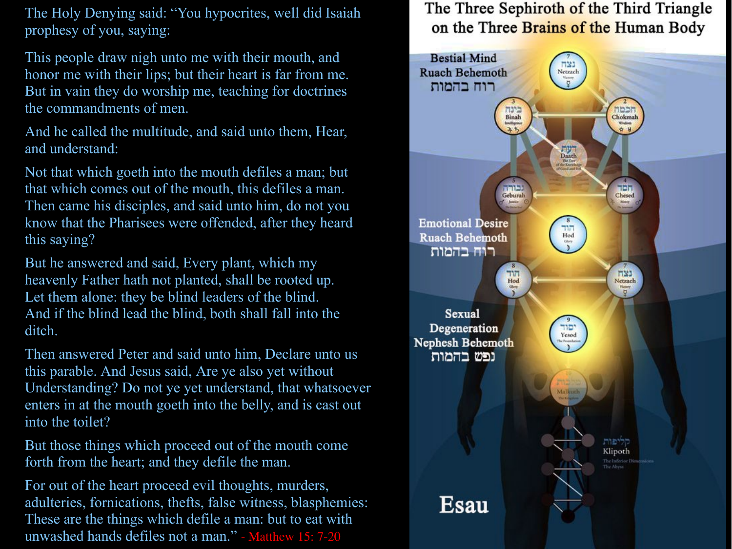The Holy Denying said: "You hypocrites, well did Isaiah prophesy of you, saying:

This people draw nigh unto me with their mouth, and honor me with their lips; but their heart is far from me. But in vain they do worship me, teaching for doctrines the commandments of men.

And he called the multitude, and said unto them, Hear, and understand:

Not that which goeth into the mouth defiles a man; but that which comes out of the mouth, this defiles a man. Then came his disciples, and said unto him, do not you know that the Pharisees were offended, after they heard this saying?

But he answered and said, Every plant, which my heavenly Father hath not planted, shall be rooted up. Let them alone: they be blind leaders of the blind. And if the blind lead the blind, both shall fall into the ditch.

Then answered Peter and said unto him, Declare unto us this parable. And Jesus said, Are ye also yet without Understanding? Do not ye yet understand, that whatsoever enters in at the mouth goeth into the belly, and is cast out into the toilet?

But those things which proceed out of the mouth come forth from the heart; and they defile the man.

For out of the heart proceed evil thoughts, murders, adulteries, fornications, thefts, false witness, blasphemies: These are the things which defile a man: but to eat with unwashed hands defiles not a man." - Matthew 15: 7-20

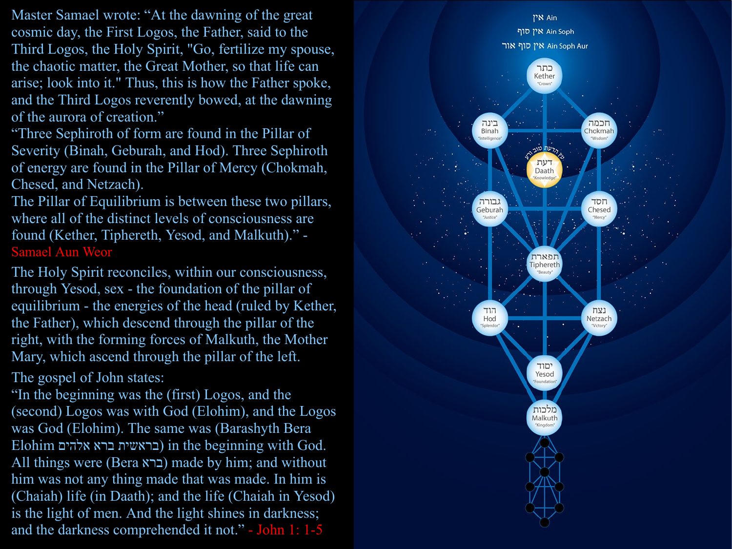Master Samael wrote: "At the dawning of the great cosmic day, the First Logos, the Father, said to the Third Logos, the Holy Spirit, "Go, fertilize my spouse, the chaotic matter, the Great Mother, so that life can arise; look into it." Thus, this is how the Father spoke, and the Third Logos reverently bowed, at the dawning of the aurora of creation."

"Three Sephiroth of form are found in the Pillar of Severity (Binah, Geburah, and Hod). Three Sephiroth of energy are found in the Pillar of Mercy (Chokmah, Chesed, and Netzach).

The Pillar of Equilibrium is between these two pillars, where all of the distinct levels of consciousness are found (Kether, Tiphereth, Yesod, and Malkuth)." - Samael Aun Weor

The Holy Spirit reconciles, within our consciousness, through Yesod, sex - the foundation of the pillar of equilibrium - the energies of the head (ruled by Kether, the Father), which descend through the pillar of the right, with the forming forces of Malkuth, the Mother Mary, which ascend through the pillar of the left.

The gospel of John states:

"In the beginning was the (first) Logos, and the (second) Logos was with God (Elohim), and the Logos was God (Elohim). The same was (Barashyth Bera Elohim אלהים ברא בראשית (in the beginning with God. All things were (Bera ברא (made by him; and without him was not any thing made that was made. In him is (Chaiah) life (in Daath); and the life (Chaiah in Yesod) is the light of men. And the light shines in darkness; and the darkness comprehended it not." - John 1: 1-5

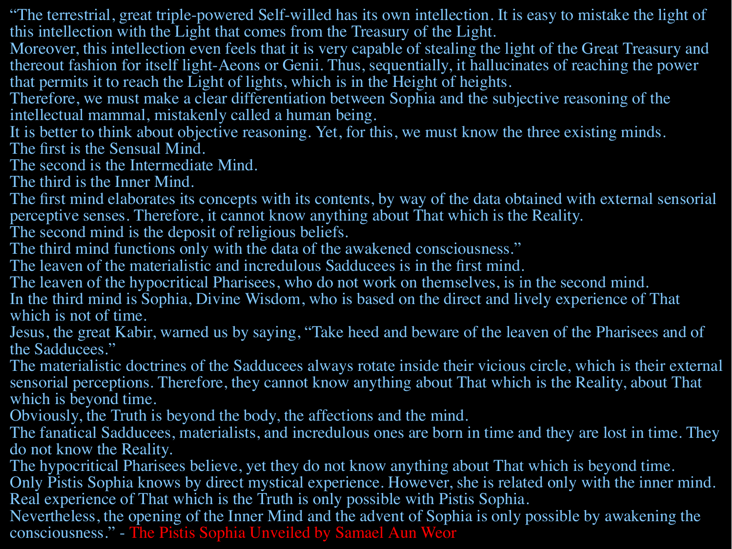"The terrestrial, great triple-powered Self-willed has its own intellection. It is easy to mistake the light of this intellection with the Light that comes from the Treasury of the Light.

Moreover, this intellection even feels that it is very capable of stealing the light of the Great Treasury and thereout fashion for itself light-Aeons or Genii. Thus, sequentially, it hallucinates of reaching the power that permits it to reach the Light of lights, which is in the Height of heights.

Therefore, we must make a clear differentiation between Sophia and the subjective reasoning of the intellectual mammal, mistakenly called a human being.

It is better to think about objective reasoning. Yet, for this, we must know the three existing minds. The first is the Sensual Mind.

The second is the Intermediate Mind.

The third is the Inner Mind.

The first mind elaborates its concepts with its contents, by way of the data obtained with external sensorial perceptive senses. Therefore, it cannot know anything about That which is the Reality.

The second mind is the deposit of religious beliefs.

The third mind functions only with the data of the awakened consciousness."

The leaven of the materialistic and incredulous Sadducees is in the first mind.

The leaven of the hypocritical Pharisees, who do not work on themselves, is in the second mind. In the third mind is Sophia, Divine Wisdom, who is based on the direct and lively experience of That which is not of time.

Jesus, the great Kabir, warned us by saying, "Take heed and beware of the leaven of the Pharisees and of the Sadducees."

The materialistic doctrines of the Sadducees always rotate inside their vicious circle, which is their external sensorial perceptions. Therefore, they cannot know anything about That which is the Reality, about That which is beyond time.

Obviously, the Truth is beyond the body, the affections and the mind.

The fanatical Sadducees, materialists, and incredulous ones are born in time and they are lost in time. They do not know the Reality.

The hypocritical Pharisees believe, yet they do not know anything about That which is beyond time.

Only Pistis Sophia knows by direct mystical experience. However, she is related only with the inner mind. Real experience of That which is the Truth is only possible with Pistis Sophia.

Nevertheless, the opening of the Inner Mind and the advent of Sophia is only possible by awakening the consciousness." - The Pistis Sophia Unveiled by Samael Aun Weor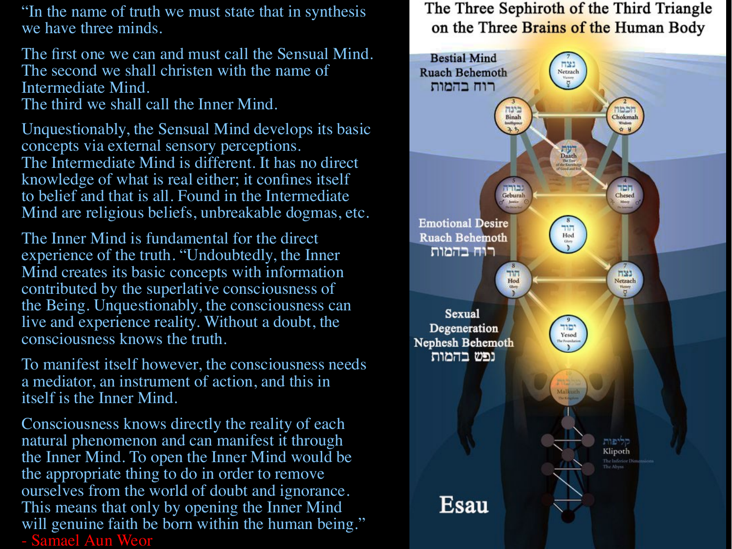"In the name of truth we must state that in synthesis we have three minds.

The first one we can and must call the Sensual Mind. The second we shall christen with the name of Intermediate Mind. The third we shall call the Inner Mind.

Unquestionably, the Sensual Mind develops its basic concepts via external sensory perceptions. The Intermediate Mind is different. It has no direct knowledge of what is real either; it confines itself to belief and that is all. Found in the Intermediate Mind are religious beliefs, unbreakable dogmas, etc.

The Inner Mind is fundamental for the direct experience of the truth. "Undoubtedly, the Inner Mind creates its basic concepts with information contributed by the superlative consciousness of the Being. Unquestionably, the consciousness can live and experience reality. Without a doubt, the consciousness knows the truth.

To manifest itself however, the consciousness needs a mediator, an instrument of action, and this in itself is the Inner Mind.

Consciousness knows directly the reality of each natural phenomenon and can manifest it through the Inner Mind. To open the Inner Mind would be the appropriate thing to do in order to remove ourselves from the world of doubt and ignorance. This means that only by opening the Inner Mind will genuine faith be born within the human being." - Samael Aun Weor

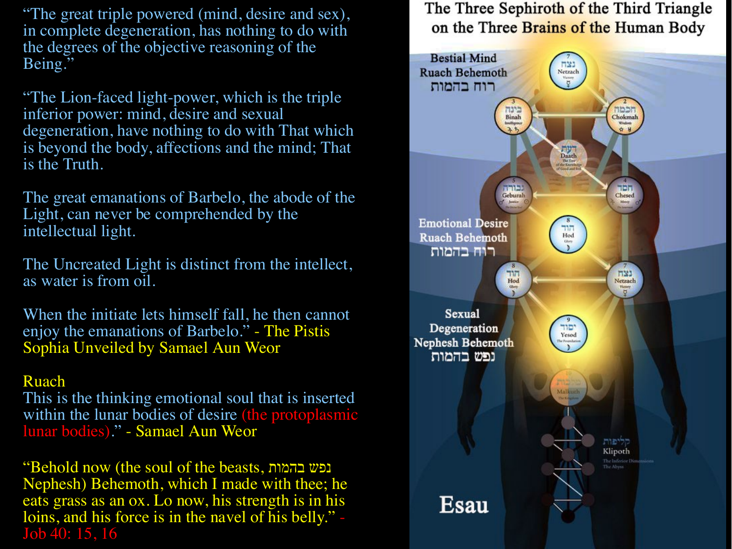"The great triple powered (mind, desire and sex), in complete degeneration, has nothing to do with the degrees of the objective reasoning of the Being."

"The Lion-faced light-power, which is the triple inferior power: mind, desire and sexual degeneration, have nothing to do with That which is beyond the body, affections and the mind; That is the Truth.

The great emanations of Barbelo, the abode of the Light, can never be comprehended by the intellectual light.

The Uncreated Light is distinct from the intellect, as water is from oil.

When the initiate lets himself fall, he then cannot enjoy the emanations of Barbelo." - The Pistis Sophia Unveiled by Samael Aun Weor

#### Ruach

This is the thinking emotional soul that is inserted within the lunar bodies of desire (the protoplasmic lunar bodies)." - Samael Aun Weor

"Behold now (the soul of the beasts, בהמות נפש Nephesh) Behemoth, which I made with thee; he eats grass as an ox. Lo now, his strength is in his loins, and his force is in the navel of his belly." - Job 40: 15, 16

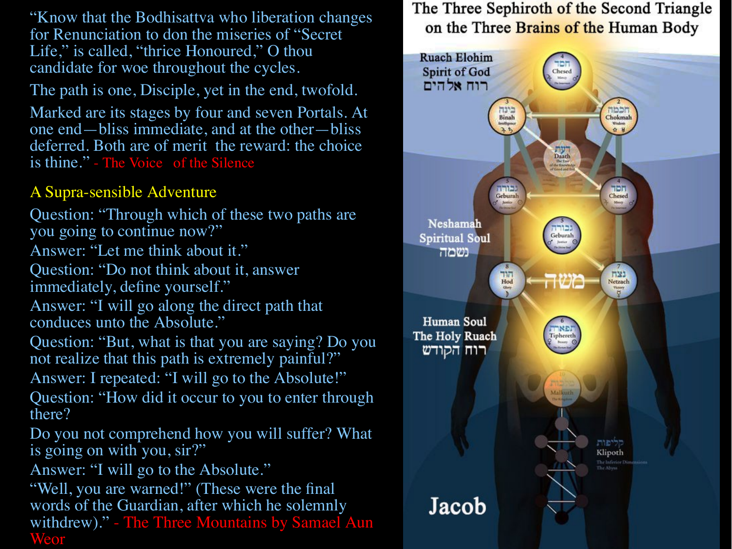"Know that the Bodhisattva who liberation changes for Renunciation to don the miseries of "Secret Life," is called, "thrice Honoured," O thou candidate for woe throughout the cycles.

The path is one, Disciple, yet in the end, twofold.

Marked are its stages by four and seven Portals. At one end—bliss immediate, and at the other—bliss deferred. Both are of merit the reward: the choice is thine." - The Voice of the Silence

## A Supra-sensible Adventure

Question: "Through which of these two paths are you going to continue now?"

Answer: "Let me think about it."

Question: "Do not think about it, answer immediately, define yourself."

Answer: "I will go along the direct path that conduces unto the Absolute."

Question: "But, what is that you are saying? Do you not realize that this path is extremely painful?"

Answer: I repeated: "I will go to the Absolute!"

Question: "How did it occur to you to enter through there?

Do you not comprehend how you will suffer? What is going on with you, sir?"

Answer: "I will go to the Absolute."

"Well, you are warned!" (These were the final words of the Guardian, after which he solemnly withdrew)." - The Three Mountains by Samael Aun Weor